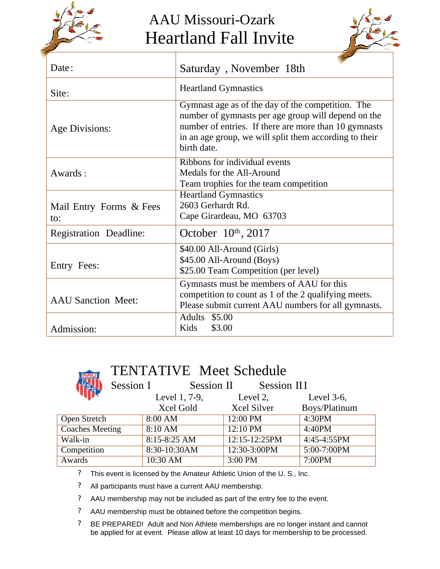

## AAU Missouri-Ozark Heartland Fall Invite



| Date:                          | Saturday, November 18th                                                                                                                                                                                                                    |  |  |
|--------------------------------|--------------------------------------------------------------------------------------------------------------------------------------------------------------------------------------------------------------------------------------------|--|--|
| Site:                          | <b>Heartland Gymnastics</b>                                                                                                                                                                                                                |  |  |
| Age Divisions:                 | Gymnast age as of the day of the competition. The<br>number of gymnasts per age group will depend on the<br>number of entries. If there are more than 10 gymnasts<br>in an age group, we will split them according to their<br>birth date. |  |  |
| Awards:                        | Ribbons for individual events<br>Medals for the All-Around<br>Team trophies for the team competition                                                                                                                                       |  |  |
| Mail Entry Forms & Fees<br>to: | <b>Heartland Gymnastics</b><br>2603 Gerhardt Rd.<br>Cape Girardeau, MO 63703                                                                                                                                                               |  |  |
| <b>Registration Deadline:</b>  | October $10th$ , 2017                                                                                                                                                                                                                      |  |  |
| Entry Fees:                    | \$40.00 All-Around (Girls)<br>\$45.00 All-Around (Boys)<br>\$25.00 Team Competition (per level)                                                                                                                                            |  |  |
| <b>AAU Sanction Meet:</b>      | Gymnasts must be members of AAU for this<br>competition to count as 1 of the 2 qualifying meets.<br>Please submit current AAU numbers for all gymnasts.                                                                                    |  |  |
| Admission:                     | Adults \$5.00<br>Kids<br>\$3.00                                                                                                                                                                                                            |  |  |

## **TAAUT**

## TENTATIVE Meet Schedule

| Session I              | Session II       | Session III        |                |
|------------------------|------------------|--------------------|----------------|
|                        | Level 1, 7-9,    | Level 2,           | Level $3-6$ ,  |
|                        | Xcel Gold        | <b>Xcel Silver</b> | Boys/Platinum  |
| Open Stretch           | 8:00 AM          | 12:00 PM           | 4:30PM         |
| <b>Coaches Meeting</b> | 8:10 AM          | 12:10 PM           | 4:40PM         |
| Walk-in                | $8:15 - 8:25$ AM | 12:15-12:25PM      | $4:45-4:55$ PM |
| Competition            | 8:30-10:30AM     | 12:30-3:00PM       | 5:00-7:00PM    |
| Awards                 | 10:30 AM         | 3:00 PM            | 7:00PM         |

? This event is licensed by the Amateur Athletic Union of the U. S., Inc.

? All participants must have a current AAU membership.

? AAU membership may not be included as part of the entry fee to the event.

? AAU membership must be obtained before the competition begins.

? BE PREPARED! Adult and Non Athlete memberships are no longer instant and cannot be applied for at event. Please allow at least 10 days for membership to be processed.